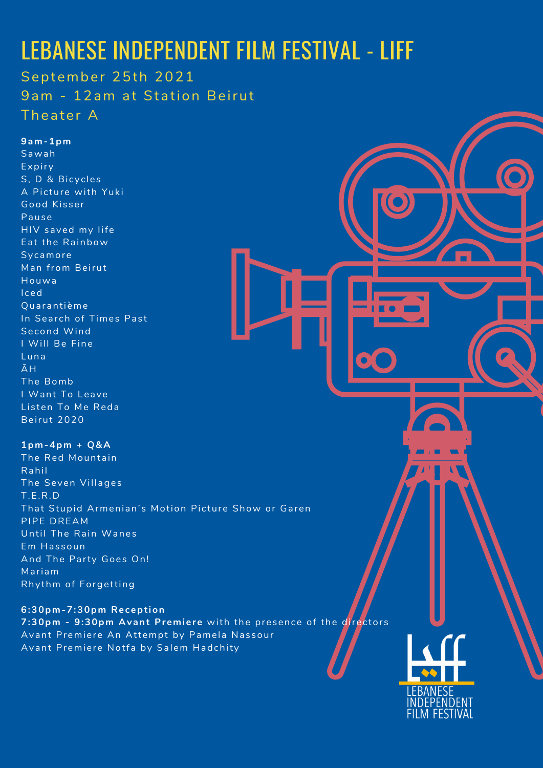## LEBANESE INDEPENDENT FILM FESTIVAL - LIFF

Sawah Expiry S, D & Bicycles A Picture with Yuki Good Kisser Pause HIV saved my life Eat the Rainbow Sy camore Man from Beirut Houwa I ced Quarantième In Search of Times Past Second Wind I Will Be Fine Luna ÃH The Bomb I Want To Leave Listen To Me Reda

September 25th 2021 9am - 12am at Station Beirut Theater A

#### **9am-1pm**

**1pm-4pm + Q&A** The Red Mountain Rahil The Seven Villages T.E.R.D That Stupid Armenian's Motion Picture Show or Garen PIPE DREAM Until The Rain Wanes Em Has soun And The Party Goes On! Mariam Rhythm of Forgetting

#### Beirut 2020

#### **6:30pm-7:30pm Reception**

**7:30pm** - 9:30pm Avant Premiere with the presence of the directors Avant Premiere An Attempt by Pamela Nassour Avant Premiere Notfa by Salem Hadchity

**LEBANESE** 

NDFPFNDFNI

**FILM FESTIVAL**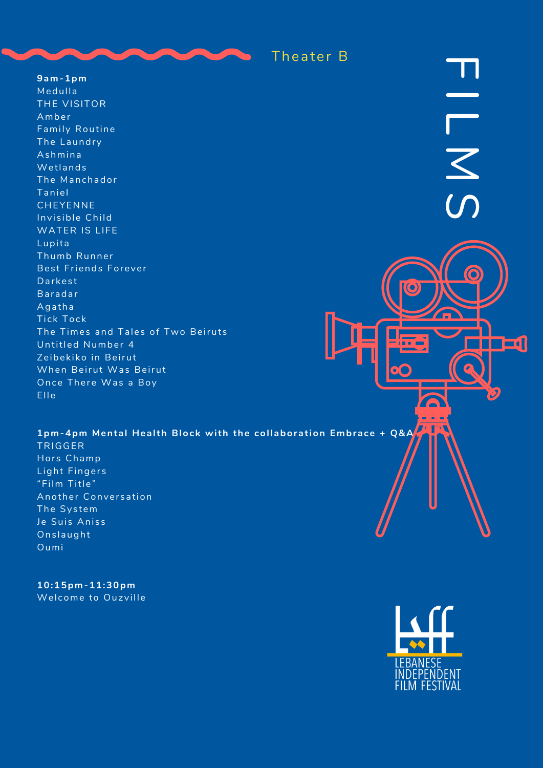

 $9am-1pm$ Medulla THE VISITOR Amber Family Routine The Laundry Ashmina Wetlands The Manchador Taniel CHEYENNE Invisible Child WATER IS LIFE Lupita Thumb Runner Best Friends Forever Darkest Baradar Agatha Tick Tock The Times and Tales of Two Beiruts Untitled Number 4 Zeibekiko in Beirut When Beirut Was Beirut Once There Was a Boy Elle



## 1pm-4pm Mental Health Block with the collaboration Embrace + Q&A

TRIGGER Hors Champ Light Fingers "Film Title" Another Conversation The System Je Suis Aniss Onslaught Oumi

 $10:15$ pm- $11:30$ pm Welcome to Ouzville

LEBANESE INDEPENDENT<br>FILM FESTIVAL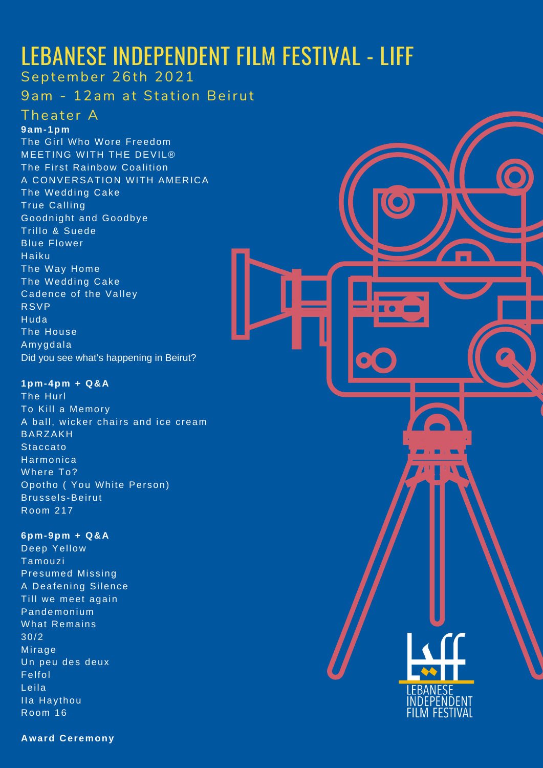# LEBANESE INDEPENDENT FILM FESTIVAL - LIFF

September 26th 2021

9am - 12am at Station Beirut

### Theater A

**9am-1pm**

The Girl Who Wore Freedom MEETING WITH THE DEVIL® The First Rainbow Coalition A CONVERSATION WITH AMERICA The Wedding Cake True Calling Goodnight and Goodbye Trillo & Suede Blue Flower Haiku The Way Home The Wedding Cake Cadence of the Valley RSVP Huda The House Amygdala Did you see what's happening in Beirut?

**1pm-4pm + Q&A** The Hurl To Kill a Memory A ball, wicker chairs and ice cream BARZAKH **Staccato** Harmonica Where To? Opotho ( You White Person) Brussels-Beirut Room 217



**6pm-9pm + Q&A** Deep Yellow Tamouz i Presumed Missing A Deafening Silence Till we meet again Pandemonium What Remains 30/2 Mirage Un peu des deux Felfol Leila IIa Haythou Room 16

**Award Ceremony**